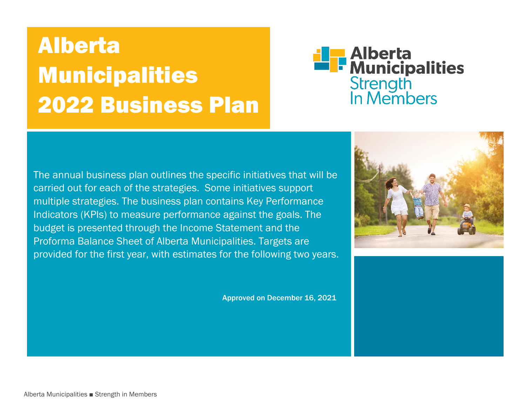# Alberta Municipalities 2022 Business Plan



The annual business plan outlines the specific initiatives that will be carried out for each of the strategies. Some initiatives support multiple strategies. The business plan contains Key Performance Indicators (KPIs) to measure performance against the goals. The budget is presented through the Income Statement and the Proforma Balance Sheet of Alberta Municipalities. Targets are provided for the first year, with estimates for the following two years.

Approved on December 16, 2021



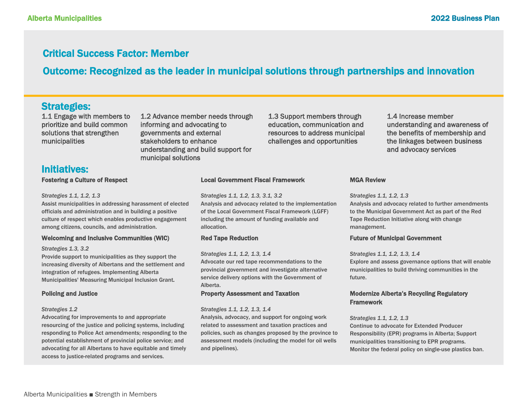### Critical Success Factor: Member

## Outcome: Recognized as the leader in municipal solutions through partnerships and innovation

### Strategies:

1.1 Engage with members to prioritize and build common solutions that strengthen municipalities

1.2 Advance member needs through informing and advocating to governments and external stakeholders to enhance understanding and build support for municipal solutions

1.3 Support members through education, communication and resources to address municipal challenges and opportunities

1.4 Increase member understanding and awareness of the benefits of membership and the linkages between business and advocacy services

**Initiatives:**<br>Fostering a Culture of Respect

#### *Strategies 1.1, 1.2, 1.3*

Assist municipalities in addressing harassment of elected officials and administration and in building a positive culture of respect which enables productive engagement among citizens, councils, and administration.

### Welcoming and Inclusive Communities (WIC)

#### *Strategies 1.3, 3.2*

Provide support to municipalities as they support the increasing diversity of Albertans and the settlement and integration of refugees. Implementing Alberta Municipalities' Measuring Municipal Inclusion Grant.

### Policing and Justice

### *Strategies 1.2*

Advocating for improvements to and appropriate resourcing of the justice and policing systems, including responding to Police Act amendments; responding to the potential establishment of provincial police service; and advocating for all Albertans to have equitable and timely access to justice-related programs and services.

### Local Government Fiscal Framework

*Strategies 1.1, 1.2, 1.3, 3.1, 3.2*

Analysis and advocacy related to the implementation of the Local Government Fiscal Framework (LGFF) including the amount of funding available and allocation.

### Red Tape Reduction

*Strategies 1.1, 1.2, 1.3, 1.4*

Advocate our red tape recommendations to the provincial government and investigate alternative service delivery options with the Government of Alberta.

### Property Assessment and Taxation

#### *Strategies 1.1, 1.2, 1.3, 1.4*

Analysis, advocacy, and support for ongoing work related to assessment and taxation practices and policies, such as changes proposed by the province to assessment models (including the model for oil wells and pipelines).

### MGA Review

#### *Strategies 1.1, 1.2, 1.3*

Analysis and advocacy related to further amendments to the Municipal Government Act as part of the Red Tape Reduction Initiative along with change management.

### Future of Municipal Government

*Strategies 1.1, 1.2, 1.3, 1.4* Explore and assess governance options that will enable municipalities to build thriving communities in the future.

### Modernize Alberta's Recycling Regulatory **Framework**

#### *Strategies 1.1, 1.2, 1.3*

Continue to advocate for Extended Producer Responsibility (EPR) programs in Alberta; Support municipalities transitioning to EPR programs. Monitor the federal policy on single-use plastics ban.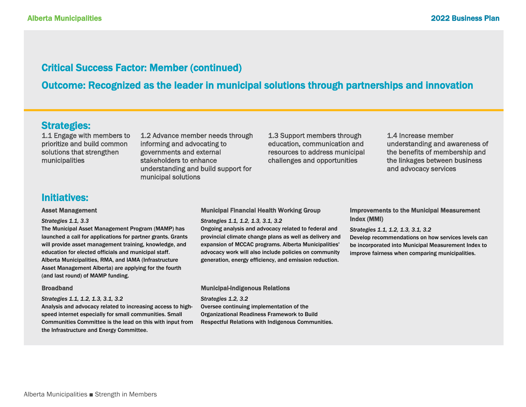### Critical Success Factor: Member (continued)

Outcome: Recognized as the leader in municipal solutions through partnerships and innovation

### Strategies:

1.1 Engage with members to prioritize and build common solutions that strengthen municipalities

1.2 Advance member needs through informing and advocating to governments and external stakeholders to enhance understanding and build support for municipal solutions

1.3 Support members through education, communication and resources to address municipal challenges and opportunities

1.4 Increase member understanding and awareness of the benefits of membership and the linkages between business and advocacy services

### Initiatives:

### Asset Management

#### *Strategies 1.1, 3.3*

The Municipal Asset Management Program (MAMP) has launched a call for applications for partner grants. Grants will provide asset management training, knowledge, and education for elected officials and municipal staff. Alberta Municipalities, RMA, and IAMA (Infrastructure Asset Management Alberta) are applying for the fourth (and last round) of MAMP funding.

#### Broadband

#### *Strategies 1.1, 1.2, 1.3, 3.1, 3.2*

Analysis and advocacy related to increasing access to highspeed internet especially for small communities. Small Communities Committee is the lead on this with input from the Infrastructure and Energy Committee.

### Municipal Financial Health Working Group

*Strategies 1.1, 1.2, 1.3, 3.1, 3.2*

Ongoing analysis and advocacy related to federal and provincial climate change plans as well as delivery and expansion of MCCAC programs. Alberta Municipalities' advocacy work will also include policies on community generation, energy efficiency, and emission reduction.

### Municipal-Indigenous Relations

*Strategies 1.2, 3.2* Oversee continuing implementation of the Organizational Readiness Framework to Build Respectful Relations with Indigenous Communities.

### Improvements to the Municipal Measurement Index (MMI)

*Strategies 1.1, 1.2, 1.3, 3.1, 3.2*

Develop recommendations on how services levels can be incorporated into Municipal Measurement Index to improve fairness when comparing municipalities.